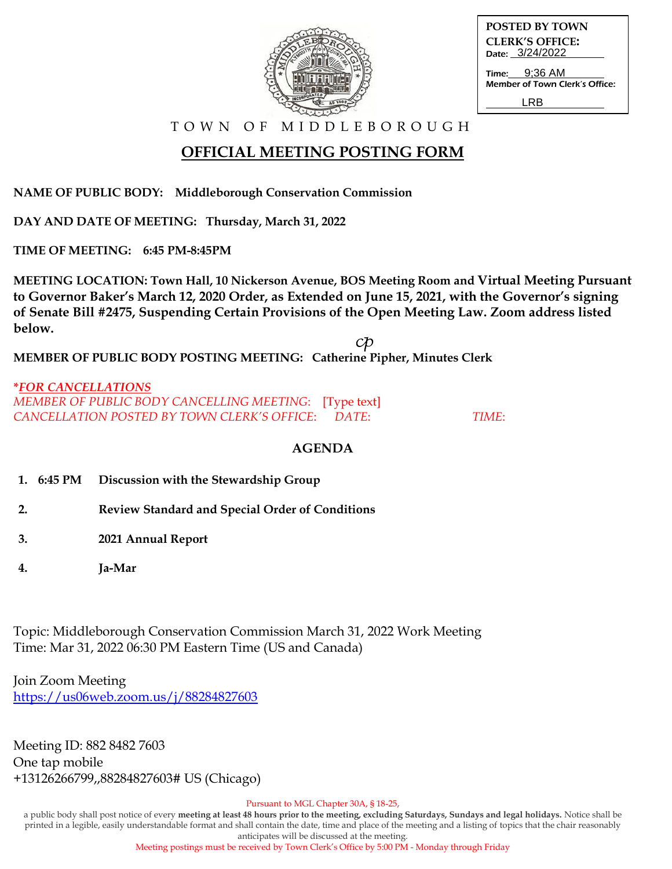

| <b>POSTED BY TOWN</b>                     |  |
|-------------------------------------------|--|
| <b>CLERK'S OFFICE:</b><br>Date: 3/24/2022 |  |
| <b>Time:</b> 9:36 AM                      |  |

Time: Member of Town Clerk's Office:

LRB

T O W N O F M I D D L E B O R O U G H

## **OFFICIAL MEETING POSTING FORM**

**NAME OF PUBLIC BODY: Middleborough Conservation Commission**

**DAY AND DATE OF MEETING: Thursday, March 31, 2022**

**TIME OF MEETING: 6:45 PM-8:45PM**

**MEETING LOCATION: Town Hall, 10 Nickerson Avenue, BOS Meeting Room and Virtual Meeting Pursuant to Governor Baker's March 12, 2020 Order, as Extended on June 15, 2021, with the Governor's signing of Senate Bill #2475, Suspending Certain Provisions of the Open Meeting Law. Zoom address listed below.**

**MEMBER OF PUBLIC BODY POSTING MEETING: Catherine Pipher, Minutes Clerk**

**\****FOR CANCELLATIONS MEMBER OF PUBLIC BODY CANCELLING MEETING*: [Type text] *CANCELLATION POSTED BY TOWN CLERK'S OFFICE*: *DATE*: *TIME*:

## **AGENDA**

- **1. 6:45 PM Discussion with the Stewardship Group**
- **2. Review Standard and Special Order of Conditions**
- **3. 2021 Annual Report**
- **4. Ja-Mar**

Topic: Middleborough Conservation Commission March 31, 2022 Work Meeting Time: Mar 31, 2022 06:30 PM Eastern Time (US and Canada)

Join Zoom Meeting <https://us06web.zoom.us/j/88284827603>

Meeting ID: 882 8482 7603 One tap mobile +13126266799,,88284827603# US (Chicago)

Pursuant to MGL Chapter 30A, § 18-25,

a public body shall post notice of every **meeting at least 48 hours prior to the meeting, excluding Saturdays, Sundays and legal holidays.** Notice shall be printed in a legible, easily understandable format and shall contain the date, time and place of the meeting and a listing of topics that the chair reasonably anticipates will be discussed at the meeting.

Meeting postings must be received by Town Clerk's Office by 5:00 PM - Monday through Friday